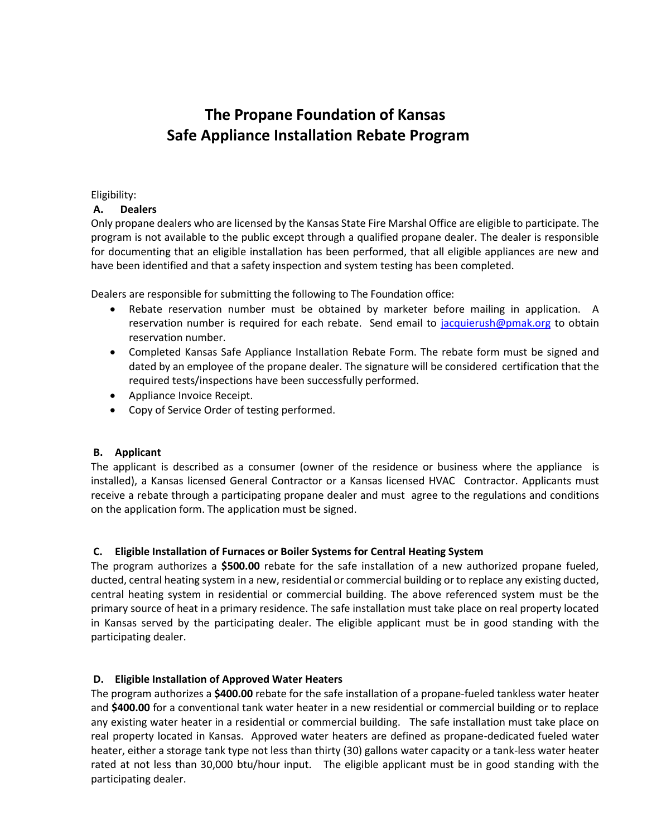## **The Propane Foundation of Kansas Safe Appliance Installation Rebate Program**

### Eligibility:

## **A. Dealers**

Only propane dealers who are licensed by the Kansas State Fire Marshal Office are eligible to participate. The program is not available to the public except through a qualified propane dealer. The dealer is responsible for documenting that an eligible installation has been performed, that all eligible appliances are new and have been identified and that a safety inspection and system testing has been completed.

Dealers are responsible for submitting the following to The Foundation office:

- Rebate reservation number must be obtained by marketer before mailing in application. A reservation number is required for each rebate. Send email to [jacquierush@pmak.org](mailto:jacquierush@pmak.org) to obtain reservation number.
- Completed Kansas Safe Appliance Installation Rebate Form. The rebate form must be signed and dated by an employee of the propane dealer. The signature will be considered certification that the required tests/inspections have been successfully performed.
- Appliance Invoice Receipt.
- Copy of Service Order of testing performed.

## **B. Applicant**

The applicant is described as a consumer (owner of the residence or business where the appliance is installed), a Kansas licensed General Contractor or a Kansas licensed HVAC Contractor. Applicants must receive a rebate through a participating propane dealer and must agree to the regulations and conditions on the application form. The application must be signed.

## **C. Eligible Installation of Furnaces or Boiler Systems for Central Heating System**

The program authorizes a **\$500.00** rebate for the safe installation of a new authorized propane fueled, ducted, central heating system in a new, residential or commercial building or to replace any existing ducted, central heating system in residential or commercial building. The above referenced system must be the primary source of heat in a primary residence. The safe installation must take place on real property located in Kansas served by the participating dealer. The eligible applicant must be in good standing with the participating dealer.

## **D. Eligible Installation of Approved Water Heaters**

The program authorizes a **\$400.00** rebate for the safe installation of a propane-fueled tankless water heater and **\$400.00** for a conventional tank water heater in a new residential or commercial building or to replace any existing water heater in a residential or commercial building. The safe installation must take place on real property located in Kansas. Approved water heaters are defined as propane-dedicated fueled water heater, either a storage tank type not less than thirty (30) gallons water capacity or a tank-less water heater rated at not less than 30,000 btu/hour input. The eligible applicant must be in good standing with the participating dealer.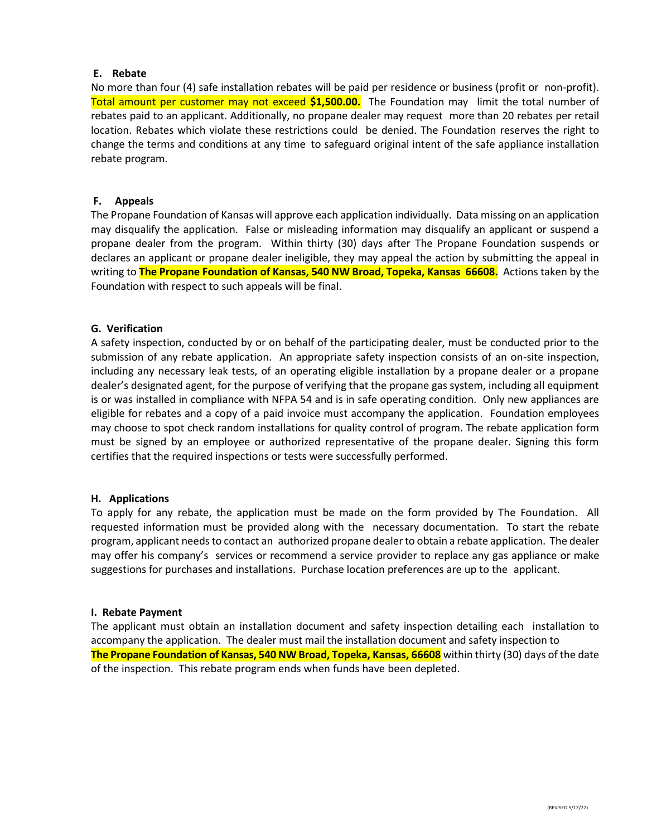#### **E. Rebate**

No more than four (4) safe installation rebates will be paid per residence or business (profit or non-profit). Total amount per customer may not exceed **\$1,500.00.** The Foundation may limit the total number of rebates paid to an applicant. Additionally, no propane dealer may request more than 20 rebates per retail location. Rebates which violate these restrictions could be denied. The Foundation reserves the right to change the terms and conditions at any time to safeguard original intent of the safe appliance installation rebate program.

#### **F. Appeals**

The Propane Foundation of Kansas will approve each application individually. Data missing on an application may disqualify the application. False or misleading information may disqualify an applicant or suspend a propane dealer from the program. Within thirty (30) days after The Propane Foundation suspends or declares an applicant or propane dealer ineligible, they may appeal the action by submitting the appeal in writing to **The Propane Foundation of Kansas, 540 NW Broad, Topeka, Kansas 66608.** Actions taken by the Foundation with respect to such appeals will be final.

#### **G. Verification**

A safety inspection, conducted by or on behalf of the participating dealer, must be conducted prior to the submission of any rebate application. An appropriate safety inspection consists of an on-site inspection, including any necessary leak tests, of an operating eligible installation by a propane dealer or a propane dealer's designated agent, for the purpose of verifying that the propane gas system, including all equipment is or was installed in compliance with NFPA 54 and is in safe operating condition. Only new appliances are eligible for rebates and a copy of a paid invoice must accompany the application. Foundation employees may choose to spot check random installations for quality control of program. The rebate application form must be signed by an employee or authorized representative of the propane dealer. Signing this form certifies that the required inspections or tests were successfully performed.

#### **H. Applications**

To apply for any rebate, the application must be made on the form provided by The Foundation. All requested information must be provided along with the necessary documentation. To start the rebate program, applicant needs to contact an authorized propane dealer to obtain a rebate application. The dealer may offer his company's services or recommend a service provider to replace any gas appliance or make suggestions for purchases and installations. Purchase location preferences are up to the applicant.

#### **I. Rebate Payment**

The applicant must obtain an installation document and safety inspection detailing each installation to accompany the application. The dealer must mail the installation document and safety inspection to **The Propane Foundation of Kansas, 540 NW Broad, Topeka, Kansas, 66608** within thirty (30) days of the date of the inspection. This rebate program ends when funds have been depleted.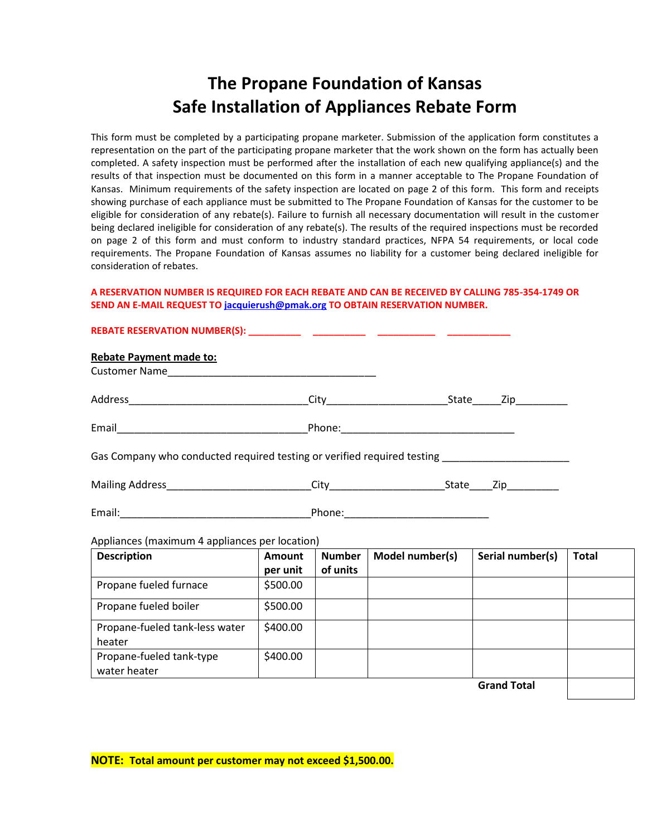# **The Propane Foundation of Kansas Safe Installation of Appliances Rebate Form**

This form must be completed by a participating propane marketer. Submission of the application form constitutes a representation on the part of the participating propane marketer that the work shown on the form has actually been completed. A safety inspection must be performed after the installation of each new qualifying appliance(s) and the results of that inspection must be documented on this form in a manner acceptable to The Propane Foundation of Kansas. Minimum requirements of the safety inspection are located on page 2 of this form. This form and receipts showing purchase of each appliance must be submitted to The Propane Foundation of Kansas for the customer to be eligible for consideration of any rebate(s). Failure to furnish all necessary documentation will result in the customer being declared ineligible for consideration of any rebate(s). The results of the required inspections must be recorded on page 2 of this form and must conform to industry standard practices, NFPA 54 requirements, or local code requirements. The Propane Foundation of Kansas assumes no liability for a customer being declared ineligible for consideration of rebates.

#### **A RESERVATION NUMBER IS REQUIRED FOR EACH REBATE AND CAN BE RECEIVED BY CALLING 785-354-1749 OR SEND AN E-MAIL REQUEST T[O jacquierush@pmak.org](mailto:jacquierush@pmak.org) TO OBTAIN RESERVATION NUMBER.**

| <b>Rebate Payment made to:</b>                                                                      |                    |                           |                 |                  |              |
|-----------------------------------------------------------------------------------------------------|--------------------|---------------------------|-----------------|------------------|--------------|
|                                                                                                     |                    |                           |                 |                  |              |
|                                                                                                     |                    |                           |                 |                  |              |
|                                                                                                     |                    |                           |                 |                  |              |
| Gas Company who conducted required testing or verified required testing ___________________________ |                    |                           |                 |                  |              |
|                                                                                                     |                    |                           |                 |                  |              |
|                                                                                                     |                    |                           |                 |                  |              |
| Appliances (maximum 4 appliances per location)                                                      |                    |                           |                 |                  |              |
| <b>Description</b>                                                                                  | Amount<br>per unit | <b>Number</b><br>of units | Model number(s) | Serial number(s) | <b>Total</b> |
| Propane fueled furnace                                                                              | \$500.00           |                           |                 |                  |              |
| Propane fueled boiler                                                                               | \$500.00           |                           |                 |                  |              |
| Propane-fueled tank-less water<br>heater                                                            | \$400.00           |                           |                 |                  |              |
| Propane-fueled tank-type<br>water heater                                                            | \$400.00           |                           |                 |                  |              |

**Grand Total**